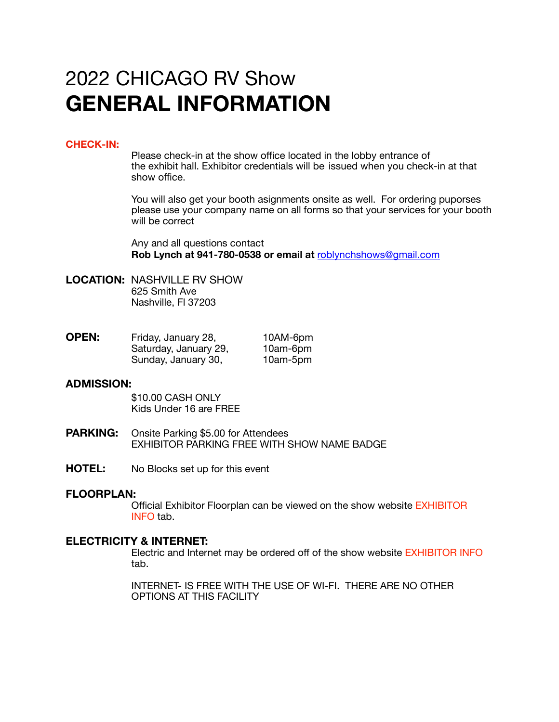# 2022 CHICAGO RV Show **GENERAL INFORMATION**

# **CHECK-IN:**

 Please check-in at the show office located in the lobby entrance of the exhibit hall. Exhibitor credentials will be issued when you check-in at that show office.

 You will also get your booth asignments onsite as well. For ordering puporses please use your company name on all forms so that your services for your booth will be correct

 Any and all questions contact **Rob Lynch at 941-780-0538 or email at** [roblynchshows@gmail.com](mailto:roblynchshows@gmail.com)

**LOCATION:** NASHVILLE RV SHOW 625 Smith Ave Nashville, Fl 37203

| <b>OPEN:</b> | Friday, January 28,   | 10AM-6pm |
|--------------|-----------------------|----------|
|              | Saturday, January 29, | 10am-6pm |
|              | Sunday, January 30,   | 10am-5pm |

## **ADMISSION:**

\$10.00 CASH ONLY Kids Under 16 are FREE

- **PARKING:** Onsite Parking \$5.00 for Attendees EXHIBITOR PARKING FREE WITH SHOW NAME BADGE
- **HOTEL:** No Blocks set up for this event

# **FLOORPLAN:**

 Official Exhibitor Floorplan can be viewed on the show website EXHIBITOR INFO tab.

# **ELECTRICITY & INTERNET:**

 Electric and Internet may be ordered off of the show website EXHIBITOR INFO tab.

 INTERNET- IS FREE WITH THE USE OF WI-FI. THERE ARE NO OTHER OPTIONS AT THIS FACILITY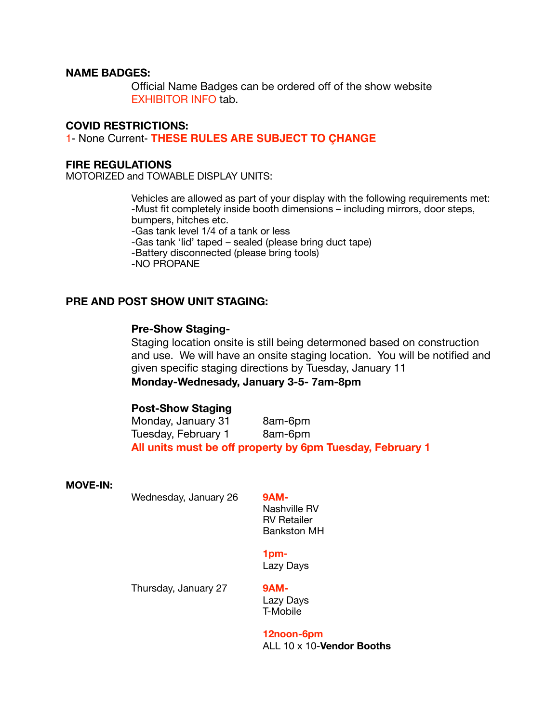# **NAME BADGES:**

Official Name Badges can be ordered off of the show website EXHIBITOR INFO tab.

# **COVID RESTRICTIONS:**

1- None Current- **THESE RULES ARE SUBJECT TO ÇHANGE**

#### **FIRE REGULATIONS**

MOTORIZED and TOWABLE DISPLAY UNITS:

 Vehicles are allowed as part of your display with the following requirements met: -Must fit completely inside booth dimensions – including mirrors, door steps, bumpers, hitches etc.

 -Gas tank level 1/4 of a tank or less

 -Gas tank 'lid' taped – sealed (please bring duct tape)

 -Battery disconnected (please bring tools)

 -NO PROPANE

# **PRE AND POST SHOW UNIT STAGING:**

# **Pre-Show Staging-**

Staging location onsite is still being determoned based on construction and use. We will have an onsite staging location. You will be notified and given specific staging directions by Tuesday, January 11 **Monday-Wednesady, January 3-5- 7am-8pm** 

## **Post-Show Staging**

Monday, January 31 8am-6pm Tuesday, February 1 8am-6pm **All units must be off property by 6pm Tuesday, February 1** 

#### **MOVE-IN:**

Wednesday, January 26 9AM-

Nashville RV RV Retailer Bankston MH

## **1pm-**

Lazy Days

Thursday, January 27 9AM-

Lazy Days T-Mobile 

 **12noon-6pm** ALL 10 x 10-**Vendor Booths**